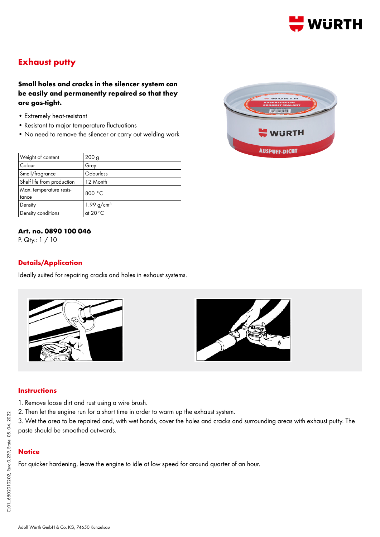

# **Exhaust putty**

# **Small holes and cracks in the silencer system can be easily and permanently repaired so that they are gas-tight.**

- Extremely heat-resistant
- Resistant to major temperature fluctuations
- No need to remove the silencer or carry out welding work

| Weight of content          | 200 <sub>g</sub>  |
|----------------------------|-------------------|
| Colour                     | Grey              |
| Smell/fragrance            | Odourless         |
| Shelf life from production | 12 Month          |
| Max. temperature resis-    | 800 °C            |
| tance                      |                   |
| Density                    | 1.99 $q/cm^{3}$   |
| Density conditions         | at $20^{\circ}$ C |

### **Art. no. 0890 100 046**

P. Qty.: 1 / 10

### **Details/Application**

Ideally suited for repairing cracks and holes in exhaust systems.





#### **Instructions**

- 1. Remove loose dirt and rust using a wire brush.
- 2. Then let the engine run for a short time in order to warm up the exhaust system.
- 3. Wet the area to be repaired and, with wet hands, cover the holes and cracks and surrounding areas with exhaust putty. The paste should be smoothed outwards.

# **Notice**

For quicker hardening, leave the engine to idle at low speed for around quarter of an hour.